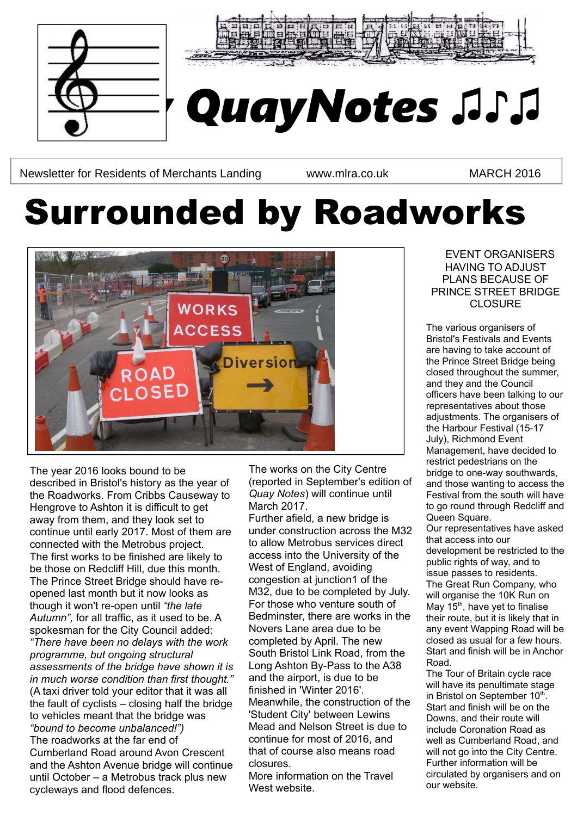



# *Quay QuayNotes ♫♪♫*

Newsletter for Residents of Merchants Landing www.mlra.co.uk MARCH 2016

# Surrounded by Roadworks



The year 2016 looks bound to be described in Bristol's history as the year of the Roadworks. From Cribbs Causeway to Hengrove to Ashton it is difficult to get away from them, and they look set to continue until early 2017. Most of them are connected with the Metrobus project. The first works to be finished are likely to be those on Redcliff Hill, due this month. The Prince Street Bridge should have reopened last month but it now looks as though it won't re-open until *"the late Autumn",* for all traffic, as it used to be. A spokesman for the City Council added: *"There have been no delays with the work programme, but ongoing structural assessments of the bridge have shown it is in much worse condition than first thought."*  (A taxi driver told your editor that it was all the fault of cyclists – closing half the bridge to vehicles meant that the bridge was *"bound to become unbalanced!")* The roadworks at the far end of Cumberland Road around Avon Crescent and the Ashton Avenue bridge will continue until October – a Metrobus track plus new cycleways and flood defences.

The works on the City Centre (reported in September's edition of *Quay Notes*) will continue until March 2017.

Further afield, a new bridge is under construction across the M32 to allow Metrobus services direct access into the University of the West of England, avoiding congestion at junction1 of the M32, due to be completed by July. For those who venture south of Bedminster, there are works in the Novers Lane area due to be completed by April. The new South Bristol Link Road, from the Long Ashton By-Pass to the A38 and the airport, is due to be finished in 'Winter 2016'. Meanwhile, the construction of the 'Student City' between Lewins Mead and Nelson Street is due to continue for most of 2016, and that of course also means road closures.

More information on the Travel West website.

EVENT ORGANISERS HAVING TO ADJUST PLANS BECAUSE OF PRINCE STREET BRIDGE CLOSURE

The various organisers of Bristol's Festivals and Events are having to take account of the Prince Street Bridge being closed throughout the summer, and they and the Council officers have been talking to our representatives about those adjustments. The organisers of the Harbour Festival (15-17 July), Richmond Event Management, have decided to restrict pedestrians on the bridge to one-way southwards, and those wanting to access the Festival from the south will have to go round through Redcliff and Queen Square. Our representatives have asked that access into our development be restricted to the public rights of way, and to issue passes to residents.

The Great Run Company, who will organise the 10K Run on May  $15<sup>th</sup>$ , have yet to finalise their route, but it is likely that in any event Wapping Road will be closed as usual for a few hours. Start and finish will be in Anchor Road.

The Tour of Britain cycle race will have its penultimate stage in Bristol on September 10<sup>th</sup>. Start and finish will be on the Downs, and their route will include Coronation Road as well as Cumberland Road, and will not go into the City Centre. Further information will be circulated by organisers and on our website.